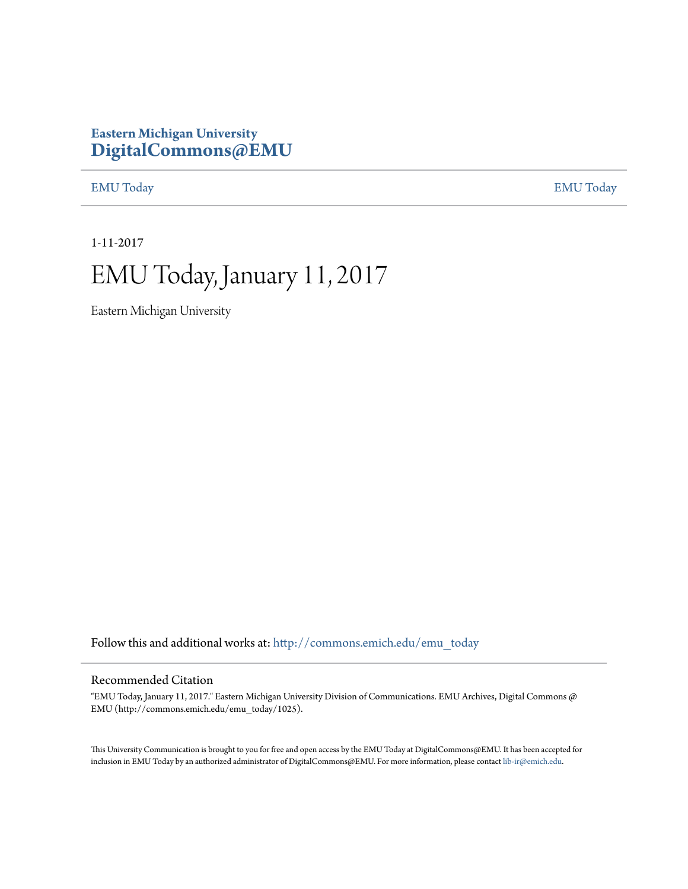### **Eastern Michigan University [DigitalCommons@EMU](http://commons.emich.edu?utm_source=commons.emich.edu%2Femu_today%2F1025&utm_medium=PDF&utm_campaign=PDFCoverPages)**

[EMU Today](http://commons.emich.edu/emu_today?utm_source=commons.emich.edu%2Femu_today%2F1025&utm_medium=PDF&utm_campaign=PDFCoverPages) [EMU Today](http://commons.emich.edu/emutoday?utm_source=commons.emich.edu%2Femu_today%2F1025&utm_medium=PDF&utm_campaign=PDFCoverPages)

1-11-2017

## EMU Today, January 11, 2017

Eastern Michigan University

Follow this and additional works at: [http://commons.emich.edu/emu\\_today](http://commons.emich.edu/emu_today?utm_source=commons.emich.edu%2Femu_today%2F1025&utm_medium=PDF&utm_campaign=PDFCoverPages)

#### Recommended Citation

"EMU Today, January 11, 2017." Eastern Michigan University Division of Communications. EMU Archives, Digital Commons @ EMU (http://commons.emich.edu/emu\_today/1025).

This University Communication is brought to you for free and open access by the EMU Today at DigitalCommons@EMU. It has been accepted for inclusion in EMU Today by an authorized administrator of DigitalCommons@EMU. For more information, please contact [lib-ir@emich.edu](mailto:lib-ir@emich.edu).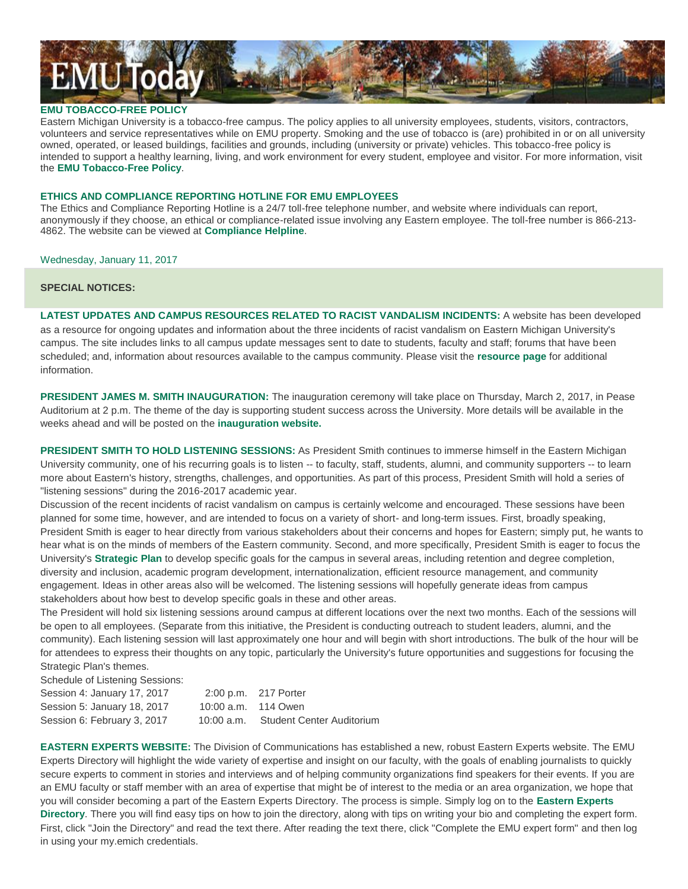# **EMUToday**

#### **EMU TOBACCO-FREE POLICY**

Eastern Michigan University is a tobacco-free campus. The policy applies to all university employees, students, visitors, contractors, volunteers and service representatives while on EMU property. Smoking and the use of tobacco is (are) prohibited in or on all university owned, operated, or leased buildings, facilities and grounds, including (university or private) vehicles. This tobacco-free policy is intended to support a healthy learning, living, and work environment for every student, employee and visitor. For more information, visit the **EMU [Tobacco-Free](http://www.emich.edu/tobaccofree/) Policy**.

#### **ETHICS AND COMPLIANCE REPORTING HOTLINE FOR EMU EMPLOYEES**

The Ethics and Compliance Reporting Hotline is a 24/7 toll-free telephone number, and website where individuals can report, anonymously if they choose, an ethical or compliance-related issue involving any Eastern employee. The toll-free number is 866-213- 4862. The website can be viewed at **[Compliance](https://www.compliance-helpline.com/welcomePageEMU.jsp) Helpline**.

Wednesday, January 11, 2017

#### **SPECIAL NOTICES:**

**LATEST UPDATES AND CAMPUS RESOURCES RELATED TO RACIST VANDALISM INCIDENTS:** A website has been developed as a resource for ongoing updates and information about the three incidents of racist vandalism on Eastern Michigan University's campus. The site includes links to all campus update messages sent to date to students, faculty and staff; forums that have been scheduled; and, information about resources available to the campus community. Please visit the **[resource](http://true.mu/2dnbklF) page** for additional information.

**PRESIDENT JAMES M. SMITH INAUGURATION:** The inauguration ceremony will take place on Thursday, March 2, 2017, in Pease Auditorium at 2 p.m. The theme of the day is supporting student success across the University. More details will be available in the weeks ahead and will be posted on the **[inauguration](http://www.emich.edu/inauguration) website.**

**PRESIDENT SMITH TO HOLD LISTENING SESSIONS:** As President Smith continues to immerse himself in the Eastern Michigan University community, one of his recurring goals is to listen -- to faculty, staff, students, alumni, and community supporters -- to learn more about Eastern's history, strengths, challenges, and opportunities. As part of this process, President Smith will hold a series of "listening sessions" during the 2016-2017 academic year.

Discussion of the recent incidents of racist vandalism on campus is certainly welcome and encouraged. These sessions have been planned for some time, however, and are intended to focus on a variety of short- and long-term issues. First, broadly speaking, President Smith is eager to hear directly from various stakeholders about their concerns and hopes for Eastern; simply put, he wants to hear what is on the minds of members of the Eastern community. Second, and more specifically, President Smith is eager to focus the University's **[Strategic](http://www.emich.edu/strategicplan/) Plan** to develop specific goals for the campus in several areas, including retention and degree completion, diversity and inclusion, academic program development, internationalization, efficient resource management, and community engagement. Ideas in other areas also will be welcomed. The listening sessions will hopefully generate ideas from campus stakeholders about how best to develop specific goals in these and other areas.

The President will hold six listening sessions around campus at different locations over the next two months. Each of the sessions will be open to all employees. (Separate from this initiative, the President is conducting outreach to student leaders, alumni, and the community). Each listening session will last approximately one hour and will begin with short introductions. The bulk of the hour will be for attendees to express their thoughts on any topic, particularly the University's future opportunities and suggestions for focusing the Strategic Plan's themes.

Schedule of Listening Sessions:

| Session 4: January 17, 2017 | 2:00 p.m. 217 Porter |                           |
|-----------------------------|----------------------|---------------------------|
| Session 5: January 18, 2017 | 10:00 a.m. 114 Owen  |                           |
| Session 6: February 3, 2017 | 10:00 a.m.           | Student Center Auditorium |

**EASTERN EXPERTS WEBSITE:** The Division of Communications has established a new, robust Eastern Experts website. The EMU Experts Directory will highlight the wide variety of expertise and insight on our faculty, with the goals of enabling journalists to quickly secure experts to comment in stories and interviews and of helping community organizations find speakers for their events. If you are an EMU faculty or staff member with an area of expertise that might be of interest to the media or an area organization, we hope that you will consider becoming a part of the Eastern Experts Directory. The process is simple. Simply log on to the **[Eastern](http://www.emich.edu/easternexperts/) Experts [Directory](http://www.emich.edu/easternexperts/)**. There you will find easy tips on how to join the directory, along with tips on writing your bio and completing the expert form. First, click "Join the Directory" and read the text there. After reading the text there, click "Complete the EMU expert form" and then log in using your my.emich credentials.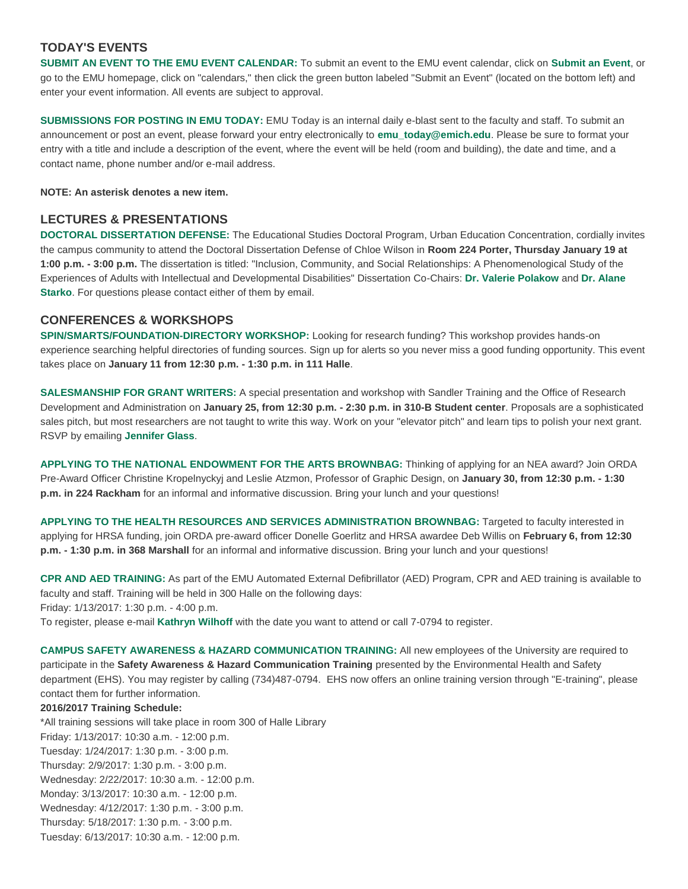#### **TODAY'S EVENTS**

**SUBMIT AN EVENT TO THE EMU EVENT CALENDAR:** To submit an event to the EMU event calendar, click on **[Submit](https://www.emich.edu/calendar/manage/) an Event**, or go to the EMU homepage, click on "calendars," then click the green button labeled "Submit an Event" (located on the bottom left) and enter your event information. All events are subject to approval.

**SUBMISSIONS FOR POSTING IN EMU TODAY:** EMU Today is an internal daily e-blast sent to the faculty and staff. To submit an announcement or post an event, please forward your entry electronically to **[emu\\_today@emich.edu](mailto:emu_today@emich.edu)**. Please be sure to format your entry with a title and include a description of the event, where the event will be held (room and building), the date and time, and a contact name, phone number and/or e-mail address.

**NOTE: An asterisk denotes a new item.**

#### **LECTURES & PRESENTATIONS**

**DOCTORAL DISSERTATION DEFENSE:** The Educational Studies Doctoral Program, Urban Education Concentration, cordially invites the campus community to attend the Doctoral Dissertation Defense of Chloe Wilson in **Room 224 Porter, Thursday January 19 at 1:00 p.m. - 3:00 p.m.** The dissertation is titled: "Inclusion, Community, and Social Relationships: A Phenomenological Study of the Experiences of Adults with Intellectual and Developmental Disabilities" Dissertation Co-Chairs: **Dr. Valerie [Polakow](mailto:vpolakow@emich.edu)** and **Dr. [Alane](mailto:astarko@emich.edu) [Starko](mailto:astarko@emich.edu)**. For questions please contact either of them by email.

#### **CONFERENCES & WORKSHOPS**

**SPIN/SMARTS/FOUNDATION-DIRECTORY WORKSHOP:** Looking for research funding? This workshop provides hands-on experience searching helpful directories of funding sources. Sign up for alerts so you never miss a good funding opportunity. This event takes place on **January 11 from 12:30 p.m. - 1:30 p.m. in 111 Halle**.

**SALESMANSHIP FOR GRANT WRITERS:** A special presentation and workshop with Sandler Training and the Office of Research Development and Administration on **January 25, from 12:30 p.m. - 2:30 p.m. in 310-B Student center**. Proposals are a sophisticated sales pitch, but most researchers are not taught to write this way. Work on your "elevator pitch" and learn tips to polish your next grant. RSVP by emailing **[Jennifer](mailto:jglass5@emich.edu) Glass**.

**APPLYING TO THE NATIONAL ENDOWMENT FOR THE ARTS BROWNBAG:** Thinking of applying for an NEA award? Join ORDA Pre-Award Officer Christine Kropelnyckyj and Leslie Atzmon, Professor of Graphic Design, on **January 30, from 12:30 p.m. - 1:30 p.m. in 224 Rackham** for an informal and informative discussion. Bring your lunch and your questions!

**APPLYING TO THE HEALTH RESOURCES AND SERVICES ADMINISTRATION BROWNBAG:** Targeted to faculty interested in applying for HRSA funding, join ORDA pre-award officer Donelle Goerlitz and HRSA awardee Deb Willis on **February 6, from 12:30 p.m. - 1:30 p.m. in 368 Marshall** for an informal and informative discussion. Bring your lunch and your questions!

**CPR AND AED TRAINING:** As part of the EMU Automated External Defibrillator (AED) Program, CPR and AED training is available to faculty and staff. Training will be held in 300 Halle on the following days: Friday: 1/13/2017: 1:30 p.m. - 4:00 p.m.

To register, please e-mail **[Kathryn](mailto:kwilhoff@emich.edu) Wilhoff** with the date you want to attend or call 7-0794 to register.

**CAMPUS SAFETY AWARENESS & HAZARD COMMUNICATION TRAINING:** All new employees of the University are required to participate in the **Safety Awareness & Hazard Communication Training** presented by the Environmental Health and Safety department (EHS). You may register by calling (734)487-0794. EHS now offers an online training version through "E-training", please contact them for further information.

#### **2016/2017 Training Schedule:**

\*All training sessions will take place in room 300 of Halle Library Friday: 1/13/2017: 10:30 a.m. - 12:00 p.m. Tuesday: 1/24/2017: 1:30 p.m. - 3:00 p.m. Thursday: 2/9/2017: 1:30 p.m. - 3:00 p.m. Wednesday: 2/22/2017: 10:30 a.m. - 12:00 p.m. Monday: 3/13/2017: 10:30 a.m. - 12:00 p.m. Wednesday: 4/12/2017: 1:30 p.m. - 3:00 p.m. Thursday: 5/18/2017: 1:30 p.m. - 3:00 p.m. Tuesday: 6/13/2017: 10:30 a.m. - 12:00 p.m.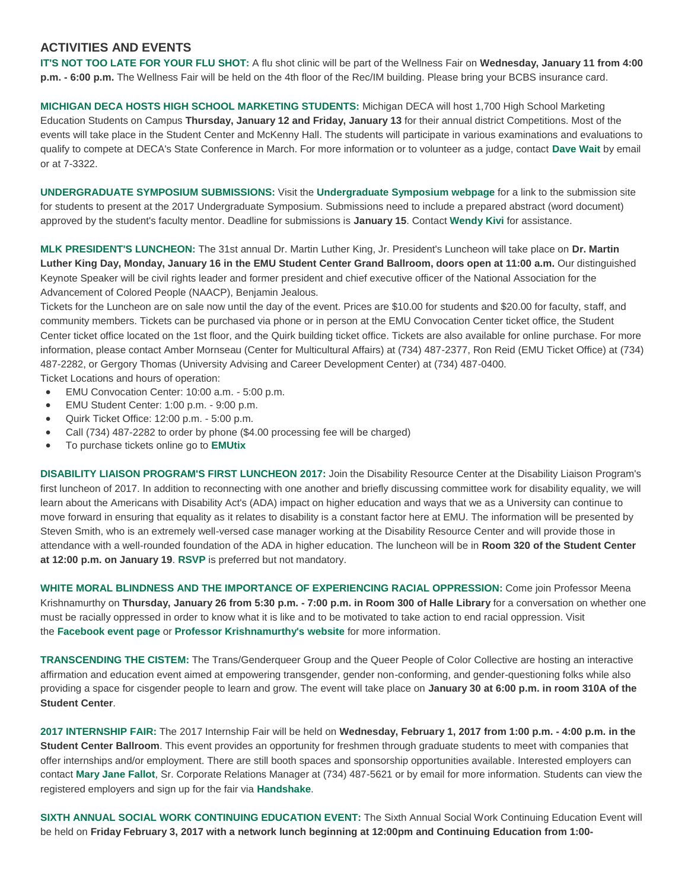#### **ACTIVITIES AND EVENTS**

**IT'S NOT TOO LATE FOR YOUR FLU SHOT:** A flu shot clinic will be part of the Wellness Fair on **Wednesday, January 11 from 4:00 p.m. - 6:00 p.m.** The Wellness Fair will be held on the 4th floor of the Rec/IM building. Please bring your BCBS insurance card.

**MICHIGAN DECA HOSTS HIGH SCHOOL MARKETING STUDENTS:** Michigan DECA will host 1,700 High School Marketing Education Students on Campus **Thursday, January 12 and Friday, January 13** for their annual district Competitions. Most of the events will take place in the Student Center and McKenny Hall. The students will participate in various examinations and evaluations to qualify to compete at DECA's State Conference in March. For more information or to volunteer as a judge, contact **[Dave](mailto:dwait@emich.edu) Wait** by email or at 7-3322.

**UNDERGRADUATE SYMPOSIUM SUBMISSIONS:** Visit the **[Undergraduate](http://www.emich.edu/symposium/) Symposium webpage** for a link to the submission site for students to present at the 2017 Undergraduate Symposium. Submissions need to include a prepared abstract (word document) approved by the student's faculty mentor. Deadline for submissions is **January 15**. Contact **[Wendy](mailto:wkivi@emch.edu) Kivi** for assistance.

**MLK PRESIDENT'S LUNCHEON:** The 31st annual Dr. Martin Luther King, Jr. President's Luncheon will take place on **Dr. Martin** Luther King Day, Monday, January 16 in the EMU Student Center Grand Ballroom, doors open at 11:00 a.m. Our distinguished Keynote Speaker will be civil rights leader and former president and chief executive officer of the National Association for the Advancement of Colored People (NAACP), Benjamin Jealous.

Tickets for the Luncheon are on sale now until the day of the event. Prices are \$10.00 for students and \$20.00 for faculty, staff, and community members. Tickets can be purchased via phone or in person at the EMU Convocation Center ticket office, the Student Center ticket office located on the 1st floor, and the Quirk building ticket office. Tickets are also available for online purchase. For more information, please contact Amber Mornseau (Center for Multicultural Affairs) at (734) 487-2377, Ron Reid (EMU Ticket Office) at (734) 487-2282, or Gergory Thomas (University Advising and Career Development Center) at (734) 487-0400.

Ticket Locations and hours of operation:

- EMU Convocation Center: 10:00 a.m. 5:00 p.m.
- EMU Student Center: 1:00 p.m. 9:00 p.m.
- Quirk Ticket Office: 12:00 p.m. 5:00 p.m.
- Call (734) 487-2282 to order by phone (\$4.00 processing fee will be charged)
- To purchase tickets online go to **[EMUtix](http://www.emich.edu/emutix/)**

**DISABILITY LIAISON PROGRAM'S FIRST LUNCHEON 2017:** Join the Disability Resource Center at the Disability Liaison Program's first luncheon of 2017. In addition to reconnecting with one another and briefly discussing committee work for disability equality, we will learn about the Americans with Disability Act's (ADA) impact on higher education and ways that we as a University can continue to move forward in ensuring that equality as it relates to disability is a constant factor here at EMU. The information will be presented by Steven Smith, who is an extremely well-versed case manager working at the Disability Resource Center and will provide those in attendance with a well-rounded foundation of the ADA in higher education. The luncheon will be in **Room 320 of the Student Center at 12:00 p.m. on January 19**. **[RSVP](https://goo.gl/forms/hleSzh8f4iZYKkic2)** is preferred but not mandatory.

**WHITE MORAL BLINDNESS AND THE IMPORTANCE OF EXPERIENCING RACIAL OPPRESSION:** Come join Professor Meena Krishnamurthy on Thursday, January 26 from 5:30 p.m. - 7:00 p.m. in Room 300 of Halle Library for a conversation on whether one must be racially oppressed in order to know what it is like and to be motivated to take action to end racial oppression. Visit the **[Facebook](https://www.facebook.com/events/1714758672168795/) event page** or **Professor [Krishnamurthy's](https://meenakrishnamurthy.net/) website** for more information.

**TRANSCENDING THE CISTEM:** The Trans/Genderqueer Group and the Queer People of Color Collective are hosting an interactive affirmation and education event aimed at empowering transgender, gender non-conforming, and gender-questioning folks while also providing a space for cisgender people to learn and grow. The event will take place on **January 30 at 6:00 p.m. in room 310A of the Student Center**.

2017 INTERNSHIP FAIR: The 2017 Internship Fair will be held on Wednesday, February 1, 2017 from 1:00 p.m. - 4:00 p.m. in the **Student Center Ballroom**. This event provides an opportunity for freshmen through graduate students to meet with companies that offer internships and/or employment. There are still booth spaces and sponsorship opportunities available. Interested employers can contact **Mary Jane [Fallot](mailto:mfallot@emich.edu)**, Sr. Corporate Relations Manager at (734) 487-5621 or by email for more information. Students can view the registered employers and sign up for the fair via **[Handshake](http://handshake.emich.edu/)**.

**SIXTH ANNUAL SOCIAL WORK CONTINUING EDUCATION EVENT:** The Sixth Annual Social Work Continuing Education Event will be held on **Friday February 3, 2017 with a network lunch beginning at 12:00pm and Continuing Education from 1:00-**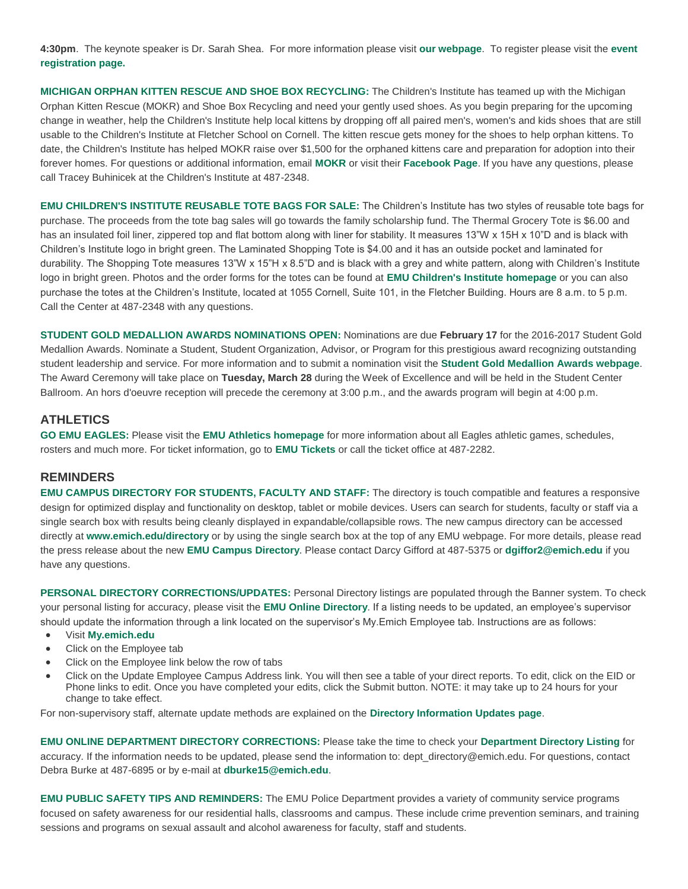**4:30pm**. The keynote speaker is Dr. Sarah Shea. For more information please visit **our [webpage](https://www.emich.edu/chhs/sw/alumni/association.php)**. To register please visit the **[event](http://bit.ly/emusw2017) [registration](http://bit.ly/emusw2017) page.**

**MICHIGAN ORPHAN KITTEN RESCUE AND SHOE BOX RECYCLING:** The Children's Institute has teamed up with the Michigan Orphan Kitten Rescue (MOKR) and Shoe Box Recycling and need your gently used shoes. As you begin preparing for the upcoming change in weather, help the Children's Institute help local kittens by dropping off all paired men's, women's and kids shoes that are still usable to the Children's Institute at Fletcher School on Cornell. The kitten rescue gets money for the shoes to help orphan kittens. To date, the Children's Institute has helped MOKR raise over \$1,500 for the orphaned kittens care and preparation for adoption into their forever homes. For questions or additional information, email **[MOKR](mailto:mokr@mikittens.org)** or visit their **[Facebook](https://www.facebook.com/mikittens) Page**. If you have any questions, please call Tracey Buhinicek at the Children's Institute at 487-2348.

**EMU CHILDREN'S INSTITUTE REUSABLE TOTE BAGS FOR SALE:** The Children's Institute has two styles of reusable tote bags for purchase. The proceeds from the tote bag sales will go towards the family scholarship fund. The Thermal Grocery Tote is \$6.00 and has an insulated foil liner, zippered top and flat bottom along with liner for stability. It measures 13"W x 15H x 10"D and is black with Children's Institute logo in bright green. The Laminated Shopping Tote is \$4.00 and it has an outside pocket and laminated for durability. The Shopping Tote measures 13"W x 15"H x 8.5"D and is black with a grey and white pattern, along with Children's Institute logo in bright green. Photos and the order forms for the totes can be found at **EMU Children's Institute [homepage](https://www.emich.edu/childrensinstitute/)** or you can also purchase the totes at the Children's Institute, located at 1055 Cornell, Suite 101, in the Fletcher Building. Hours are 8 a.m. to 5 p.m. Call the Center at 487-2348 with any questions.

**STUDENT GOLD MEDALLION AWARDS NOMINATIONS OPEN:** Nominations are due **February 17** for the 2016-2017 Student Gold Medallion Awards. Nominate a Student, Student Organization, Advisor, or Program for this prestigious award recognizing outstanding student leadership and service. For more information and to submit a nomination visit the **Student Gold [Medallion](https://www.emich.edu/campuslife/leadership/gold-medallions/) Awards webpage**. The Award Ceremony will take place on **Tuesday, March 28** during the Week of Excellence and will be held in the Student Center Ballroom. An hors d'oeuvre reception will precede the ceremony at 3:00 p.m., and the awards program will begin at 4:00 p.m.

#### **ATHLETICS**

**GO EMU EAGLES:** Please visit the **EMU Athletics [homepage](http://www.emueagles.com/)** for more information about all Eagles athletic games, schedules, rosters and much more. For ticket information, go to **EMU [Tickets](http://www.emutix.com/)** or call the ticket office at 487-2282.

#### **REMINDERS**

**EMU CAMPUS DIRECTORY FOR STUDENTS, FACULTY AND STAFF:** The directory is touch compatible and features a responsive design for optimized display and functionality on desktop, tablet or mobile devices. Users can search for students, faculty or staff via a single search box with results being cleanly displayed in expandable/collapsible rows. The new campus directory can be accessed directly at **[www.emich.edu/directory](http://www.emich.edu/directory/)** or by using the single search box at the top of any EMU webpage. For more details, please read the press release about the new **EMU Campus [Directory](http://www.emich.edu/univcomm/releases/release.php?id=1411502813)**. Please contact Darcy Gifford at 487-5375 or **[dgiffor2@emich.edu](mailto:dgiffor2@emich.edu)** if you have any questions.

**PERSONAL DIRECTORY CORRECTIONS/UPDATES:** Personal Directory listings are populated through the Banner system. To check your personal listing for accuracy, please visit the **EMU Online [Directory](http://it.emich.edu/service/online/directory/index.cfm?fuseaction=main)**. If a listing needs to be updated, an employee's supervisor should update the information through a link located on the supervisor's My.Emich Employee tab. Instructions are as follows:

- Visit **[My.emich.edu](http://emu.imodules.com/redirect.aspx?linkID=4478&eid=327289)**
- Click on the Employee tab
- Click on the Employee link below the row of tabs
- Click on the Update Employee Campus Address link. You will then see a table of your direct reports. To edit, click on the EID or Phone links to edit. Once you have completed your edits, click the Submit button. NOTE: it may take up to 24 hours for your change to take effect.

For non-supervisory staff, alternate update methods are explained on the **Directory [Information](https://www.emich.edu/it/services/directoryupdates.php) Updates page**.

**EMU ONLINE DEPARTMENT DIRECTORY CORRECTIONS:** Please take the time to check your **[Department](http://www.emich.edu/telephones/) Directory Listing** for accuracy. If the information needs to be updated, please send the information to: dept\_directory@emich.edu. For questions, contact Debra Burke at 487-6895 or by e-mail at **[dburke15@emich.edu](mailto:dburke15@emich.edu)**.

**EMU PUBLIC SAFETY TIPS AND REMINDERS:** The EMU Police Department provides a variety of community service programs focused on safety awareness for our residential halls, classrooms and campus. These include crime prevention seminars, and training sessions and programs on sexual assault and alcohol awareness for faculty, staff and students.